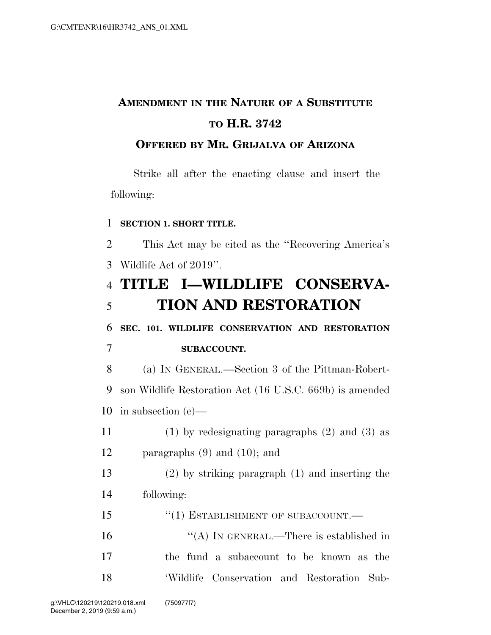# **AMENDMENT IN THE NATURE OF A SUBSTITUTE TO H.R. 3742**

### **OFFERED BY MR. GRIJALVA OF ARIZONA**

Strike all after the enacting clause and insert the following:

#### **SECTION 1. SHORT TITLE.**

 This Act may be cited as the ''Recovering America's Wildlife Act of 2019''.

 **TITLE I—WILDLIFE CONSERVA-TION AND RESTORATION** 

 **SEC. 101. WILDLIFE CONSERVATION AND RESTORATION SUBACCOUNT.** 

 (a) IN GENERAL.—Section 3 of the Pittman-Robert- son Wildlife Restoration Act (16 U.S.C. 669b) is amended in subsection (c)—

 (1) by redesignating paragraphs (2) and (3) as paragraphs (9) and (10); and

 (2) by striking paragraph (1) and inserting the following:

15 "(1) ESTABLISHMENT OF SUBACCOUNT.—

16 "(A) In GENERAL.—There is established in the fund a subaccount to be known as the 'Wildlife Conservation and Restoration Sub-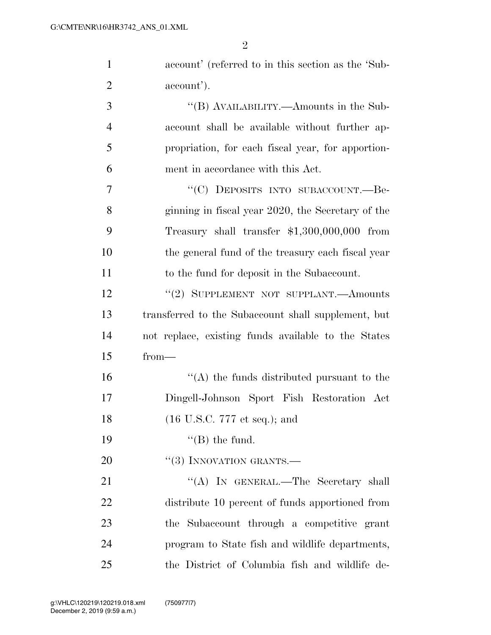| $\mathbf{1}$   | account' (referred to in this section as the 'Sub-  |
|----------------|-----------------------------------------------------|
| $\overline{2}$ | account').                                          |
| 3              | "(B) AVAILABILITY.—Amounts in the Sub-              |
| $\overline{4}$ | account shall be available without further ap-      |
| 5              | propriation, for each fiscal year, for apportion-   |
| 6              | ment in accordance with this Act.                   |
| 7              | "(C) DEPOSITS INTO SUBACCOUNT.—Be-                  |
| 8              | ginning in fiscal year 2020, the Secretary of the   |
| 9              | Treasury shall transfer $$1,300,000,000$ from       |
| 10             | the general fund of the treasury each fiscal year   |
| 11             | to the fund for deposit in the Subaccount.          |
| 12             | "(2) SUPPLEMENT NOT SUPPLANT.—Amounts               |
| 13             | transferred to the Subaccount shall supplement, but |
| 14             | not replace, existing funds available to the States |
| 15             | $from-$                                             |
| 16             | $\lq\lq$ the funds distributed pursuant to the      |
| 17             | Dingell-Johnson Sport Fish Restoration Act          |
| 18             | $(16 \text{ U.S.C. } 777 \text{ et seq.});$ and     |
| 19             | $\lq\lq$ (B) the fund.                              |
| 20             | $``(3)$ INNOVATION GRANTS.—                         |
| 21             | "(A) IN GENERAL.—The Secretary shall                |
| 22             | distribute 10 percent of funds apportioned from     |
| 23             | the Subaccount through a competitive grant          |
| 24             | program to State fish and wildlife departments,     |
| 25             | the District of Columbia fish and wildlife de-      |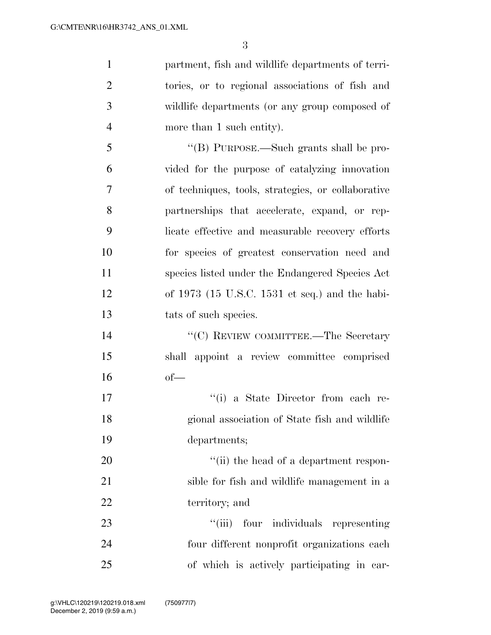partment, fish and wildlife departments of terri- tories, or to regional associations of fish and wildlife departments (or any group composed of 4 more than 1 such entity). ''(B) PURPOSE.—Such grants shall be pro- vided for the purpose of catalyzing innovation of techniques, tools, strategies, or collaborative partnerships that accelerate, expand, or rep- licate effective and measurable recovery efforts for species of greatest conservation need and species listed under the Endangered Species Act of 1973 (15 U.S.C. 1531 et seq.) and the habi-13 tats of such species. 14 ''(C) REVIEW COMMITTEE.—The Secretary shall appoint a review committee comprised of—  $\frac{1}{10}$  a State Director from each re- gional association of State fish and wildlife departments;  $\frac{1}{1}$  the head of a department respon-

 sible for fish and wildlife management in a territory; and

23  $\frac{1}{2}$   $\frac{1}{2}$  four individuals representing four different nonprofit organizations each of which is actively participating in car-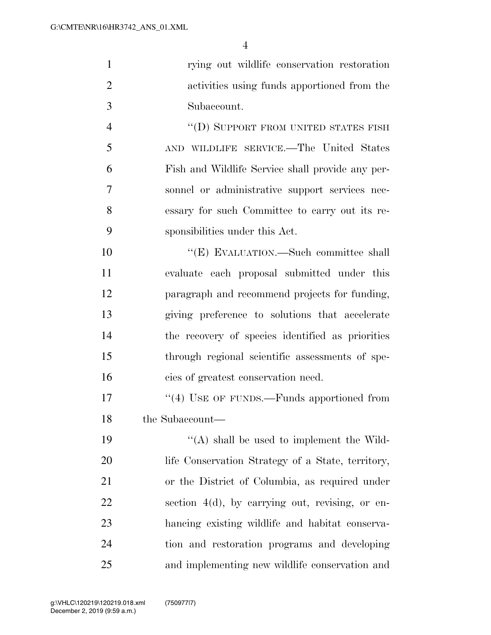|                | rying out wildlife conservation restoration      |
|----------------|--------------------------------------------------|
| 2              | activities using funds apportioned from the      |
| 3              | Subaccount.                                      |
| $\overline{4}$ | "(D) SUPPORT FROM UNITED STATES FISH             |
| 5              | AND WILDLIFE SERVICE.—The United States          |
| 6              | Fish and Wildlife Service shall provide any per- |
|                | sonnel or administrative support services nec-   |

 essary for such Committee to carry out its re-sponsibilities under this Act.

 $C(E)$  EVALUATION.—Such committee shall evaluate each proposal submitted under this paragraph and recommend projects for funding, giving preference to solutions that accelerate the recovery of species identified as priorities through regional scientific assessments of spe-cies of greatest conservation need.

17 "(4) USE OF FUNDS.—Funds apportioned from the Subaccount—

 $((A)$  shall be used to implement the Wild-20 life Conservation Strategy of a State, territory, or the District of Columbia, as required under section 4(d), by carrying out, revising, or en- hancing existing wildlife and habitat conserva- tion and restoration programs and developing and implementing new wildlife conservation and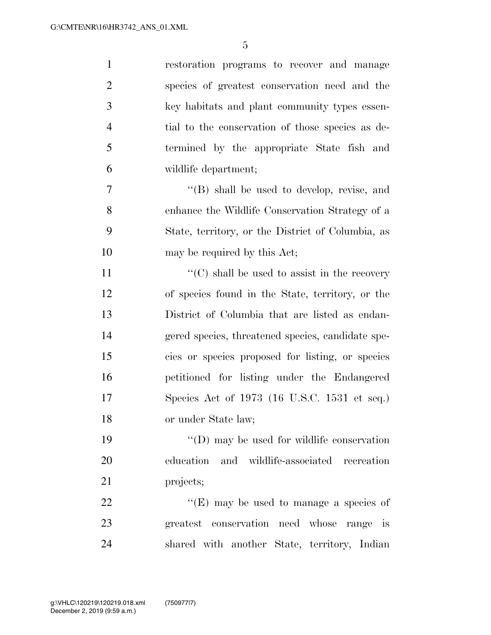| $\mathbf{1}$   | restoration programs to recover and manage           |
|----------------|------------------------------------------------------|
| $\overline{2}$ | species of greatest conservation need and the        |
| 3              | key habitats and plant community types essen-        |
| $\overline{4}$ | tial to the conservation of those species as de-     |
| 5              | termined by the appropriate State fish and           |
| 6              | wildlife department;                                 |
| $\overline{7}$ | $\lq\lq$ (B) shall be used to develop, revise, and   |
| 8              | enhance the Wildlife Conservation Strategy of a      |
| 9              | State, territory, or the District of Columbia, as    |
| 10             | may be required by this Act;                         |
| 11             | $\lq\lq$ (C) shall be used to assist in the recovery |
| 12             | of species found in the State, territory, or the     |
| 13             | District of Columbia that are listed as endan-       |
| 14             | gered species, threatened species, candidate spe-    |
| 15             | cies or species proposed for listing, or species     |
| 16             | petitioned for listing under the Endangered          |
| 17             | Species Act of $1973$ (16 U.S.C. 1531 et seq.)       |
| 18             | or under State law;                                  |
| 19             | $\lq\lq$ (D) may be used for wildlife conservation   |
| 20             | education and wildlife-associated recreation         |
| 21             | projects;                                            |
| 22             | "(E) may be used to manage a species of              |
| 23             | greatest conservation need whose<br>range is         |
| 24             | shared with another State, territory, Indian         |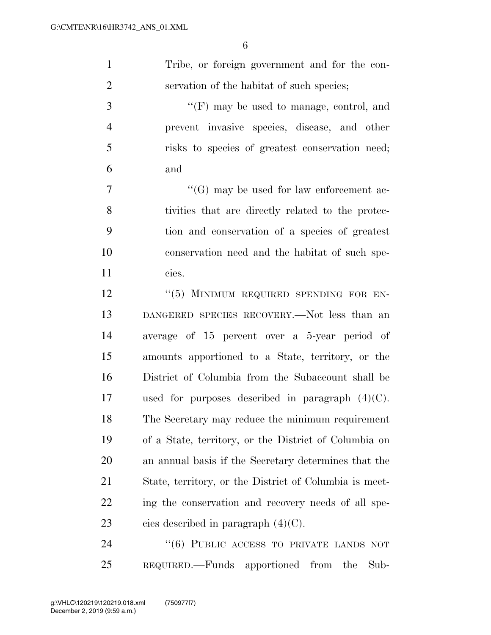| Tribe, or foreign government and for the con- |
|-----------------------------------------------|
| servation of the habitat of such species;     |

 ''(F) may be used to manage, control, and prevent invasive species, disease, and other risks to species of greatest conservation need; and

 $\langle G \rangle$  may be used for law enforcement ac- tivities that are directly related to the protec- tion and conservation of a species of greatest conservation need and the habitat of such spe-cies.

12 <sup>''</sup>(5) MINIMUM REQUIRED SPENDING FOR EN- DANGERED SPECIES RECOVERY.—Not less than an average of 15 percent over a 5-year period of amounts apportioned to a State, territory, or the District of Columbia from the Subaccount shall be used for purposes described in paragraph (4)(C). The Secretary may reduce the minimum requirement of a State, territory, or the District of Columbia on an annual basis if the Secretary determines that the State, territory, or the District of Columbia is meet-22 ing the conservation and recovery needs of all spe-23 cies described in paragraph  $(4)(C)$ .

24 "(6) PUBLIC ACCESS TO PRIVATE LANDS NOT REQUIRED.—Funds apportioned from the Sub-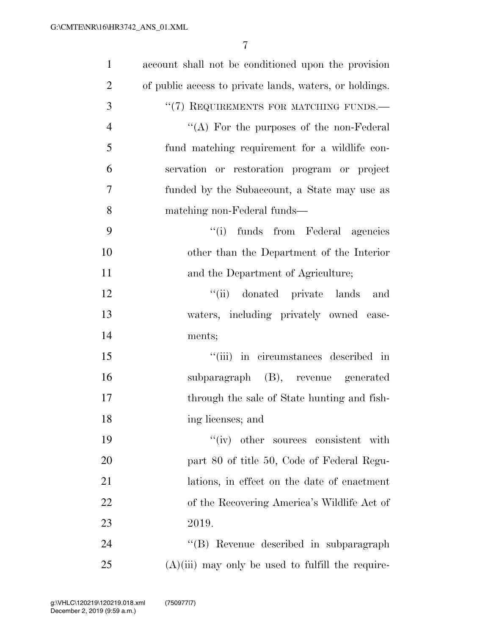| $\mathbf{1}$   | account shall not be conditioned upon the provision     |
|----------------|---------------------------------------------------------|
| $\overline{2}$ | of public access to private lands, waters, or holdings. |
| 3              | "(7) REQUIREMENTS FOR MATCHING FUNDS.-                  |
| $\overline{4}$ | "(A) For the purposes of the non-Federal                |
| 5              | fund matching requirement for a wildlife con-           |
| 6              | servation or restoration program or project             |
| $\overline{7}$ | funded by the Subaccount, a State may use as            |
| 8              | matching non-Federal funds—                             |
| 9              | "(i) funds from Federal agencies                        |
| 10             | other than the Department of the Interior               |
| 11             | and the Department of Agriculture;                      |
| 12             | "(ii) donated private lands<br>and                      |
| 13             | waters, including privately owned ease-                 |
| 14             | ments;                                                  |
| 15             | "(iii) in circumstances described in                    |
| 16             | subparagraph (B), revenue generated                     |
| 17             | through the sale of State hunting and fish-             |
| 18             | ing licenses; and                                       |
| 19             | "(iv) other sources consistent with                     |
| 20             | part 80 of title 50, Code of Federal Regu-              |
| 21             | lations, in effect on the date of enactment             |
| 22             | of the Recovering America's Wildlife Act of             |
| 23             | 2019.                                                   |
| 24             | "(B) Revenue described in subparagraph                  |
| 25             | $(A)(iii)$ may only be used to fulfill the require-     |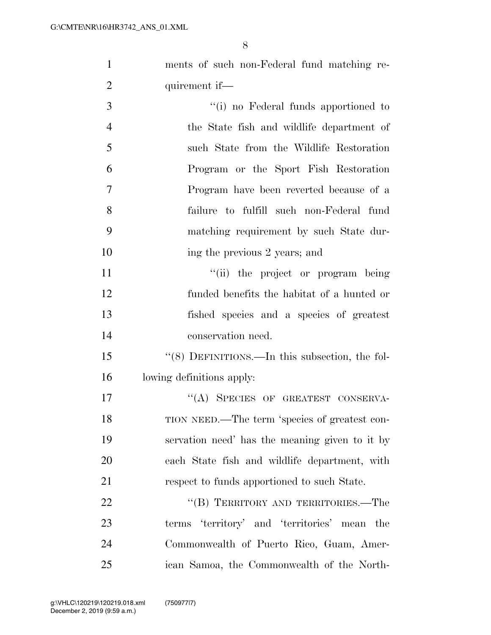ments of such non-Federal fund matching re-

| $\overline{2}$ | quirement if—                                   |
|----------------|-------------------------------------------------|
| 3              | "(i) no Federal funds apportioned to            |
| $\overline{4}$ | the State fish and wildlife department of       |
| 5              | such State from the Wildlife Restoration        |
| 6              | Program or the Sport Fish Restoration           |
| $\overline{7}$ | Program have been reverted because of a         |
| 8              | failure to fulfill such non-Federal fund        |
| 9              | matching requirement by such State dur-         |
| 10             | ing the previous 2 years; and                   |
| 11             | "(ii) the project or program being              |
| 12             | funded benefits the habitat of a hunted or      |
| 13             | fished species and a species of greatest        |
| 14             | conservation need.                              |
| 15             | "(8) DEFINITIONS.—In this subsection, the fol-  |
| 16             | lowing definitions apply:                       |
| 17             | "(A) SPECIES OF GREATEST CONSERVA-              |
| 18             | TION NEED.—The term 'species of greatest con-   |
| 19             | servation need' has the meaning given to it by  |
| 20             | each State fish and wildlife department, with   |
| 21             | respect to funds apportioned to such State.     |
| 22             | "(B) TERRITORY AND TERRITORIES.—The             |
| 23             | terms 'territory' and 'territories' mean<br>the |
| 24             | Commonwealth of Puerto Rico, Guam, Amer-        |
| 25             | ican Samoa, the Commonwealth of the North-      |
|                |                                                 |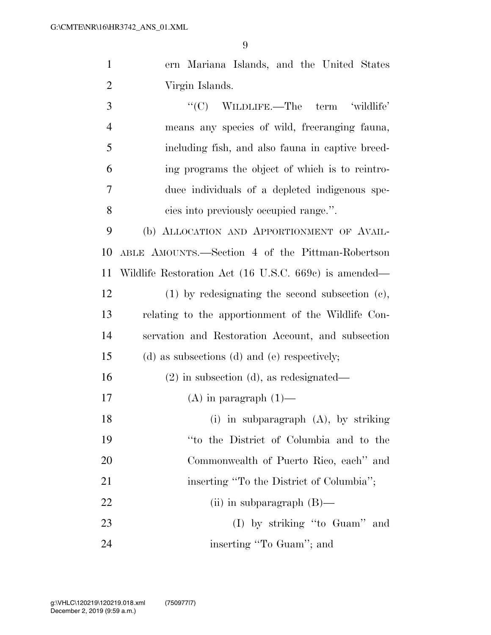ern Mariana Islands, and the United States Virgin Islands.

 ''(C) WILDLIFE.—The term 'wildlife' means any species of wild, freeranging fauna, including fish, and also fauna in captive breed- ing programs the object of which is to reintro- duce individuals of a depleted indigenous spe-cies into previously occupied range.''.

 (b) ALLOCATION AND APPORTIONMENT OF AVAIL- ABLE AMOUNTS.—Section 4 of the Pittman-Robertson Wildlife Restoration Act (16 U.S.C. 669c) is amended—

 (1) by redesignating the second subsection (c), relating to the apportionment of the Wildlife Con- servation and Restoration Account, and subsection (d) as subsections (d) and (e) respectively;

(2) in subsection (d), as redesignated—

- 17 (A) in paragraph  $(1)$ —
- (i) in subparagraph (A), by striking ''to the District of Columbia and to the Commonwealth of Puerto Rico, each'' and 21 inserting "To the District of Columbia"; 22 (ii) in subparagraph (B)—
- 23 (I) by striking "to Guam" and 24 inserting "To Guam"; and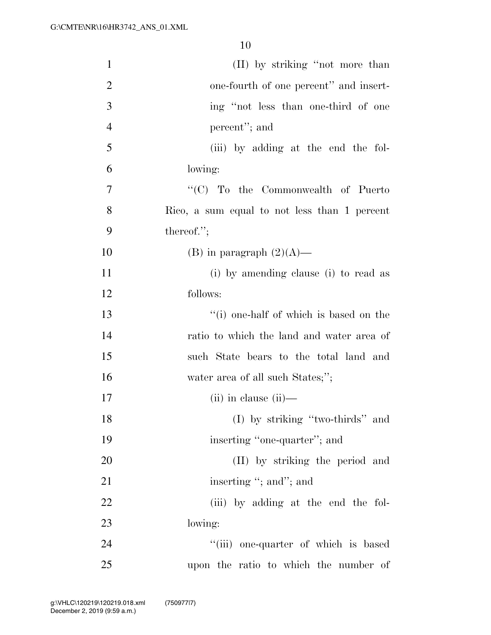| $\mathbf{1}$   | (II) by striking "not more than              |
|----------------|----------------------------------------------|
| $\overline{c}$ | one-fourth of one percent" and insert-       |
| 3              | ing "not less than one-third of one          |
| $\overline{4}$ | percent"; and                                |
| 5              | (iii) by adding at the end the fol-          |
| 6              | lowing:                                      |
| 7              | "(C) To the Commonwealth of Puerto           |
| 8              | Rico, a sum equal to not less than 1 percent |
| 9              | thereof.";                                   |
| 10             | (B) in paragraph $(2)(A)$ —                  |
| 11             | (i) by amending clause (i) to read as        |
| 12             | follows:                                     |
| 13             | "(i) one-half of which is based on the       |
| 14             | ratio to which the land and water area of    |
| 15             | such State bears to the total land and       |
| 16             | water area of all such States;";             |
| 17             | $(ii)$ in clause $(ii)$ —                    |
| 18             | (I) by striking "two-thirds" and             |
| 19             | inserting "one-quarter"; and                 |
| 20             | (II) by striking the period and              |
| 21             | inserting "; and"; and                       |
| 22             | (iii) by adding at the end the fol-          |
| 23             | lowing:                                      |
| 24             | "(iii) one-quarter of which is based         |
| 25             | upon the ratio to which the number of        |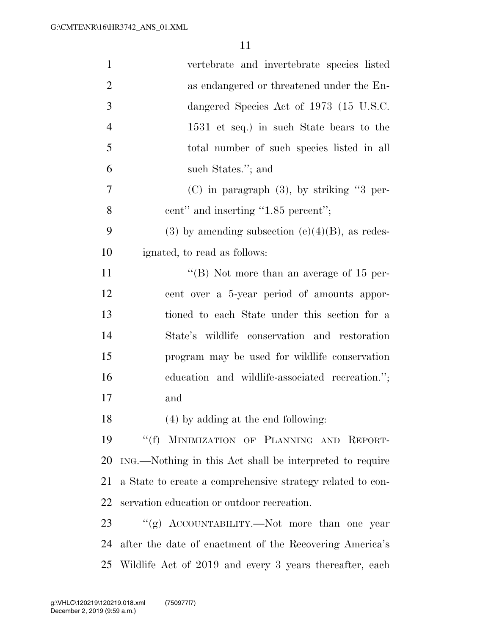| $\mathbf{1}$   | vertebrate and invertebrate species listed                 |
|----------------|------------------------------------------------------------|
| $\overline{2}$ | as endangered or threatened under the En-                  |
| 3              | dangered Species Act of 1973 (15 U.S.C.                    |
| $\overline{4}$ | 1531 et seq.) in such State bears to the                   |
| 5              | total number of such species listed in all                 |
| 6              | such States."; and                                         |
| 7              | $(C)$ in paragraph $(3)$ , by striking "3 per-             |
| 8              | cent" and inserting "1.85 percent";                        |
| 9              | (3) by amending subsection (e)(4)(B), as redes-            |
| 10             | ignated, to read as follows:                               |
| 11             | "(B) Not more than an average of $15$ per-                 |
| 12             | cent over a 5-year period of amounts appor-                |
| 13             | tioned to each State under this section for a              |
| 14             | State's wildlife conservation and restoration              |
| 15             | program may be used for wildlife conservation              |
| 16             | education and wildlife-associated recreation.";            |
| 17             | and                                                        |
| 18             | $(4)$ by adding at the end following:                      |
| 19             | "(f) MINIMIZATION OF PLANNING AND REPORT-                  |
| 20             | ING.—Nothing in this Act shall be interpreted to require   |
| 21             | a State to create a comprehensive strategy related to con- |
| 22             | servation education or outdoor recreation.                 |
| 23             | "(g) ACCOUNTABILITY.—Not more than one year                |
| 24             | after the date of enactment of the Recovering America's    |
|                | 25 Wildlife Act of 2019 and every 3 years thereafter, each |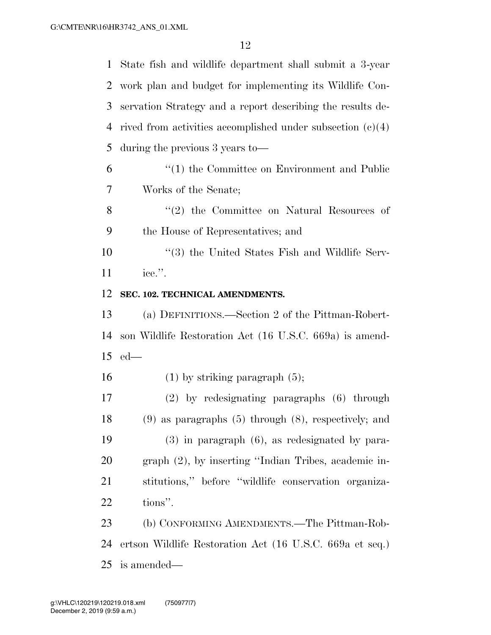State fish and wildlife department shall submit a 3-year work plan and budget for implementing its Wildlife Con- servation Strategy and a report describing the results de- rived from activities accomplished under subsection (c)(4) during the previous 3 years to— ''(1) the Committee on Environment and Public Works of the Senate; 8 ''(2) the Committee on Natural Resources of the House of Representatives; and ''(3) the United States Fish and Wildlife Serv- ice.''. **SEC. 102. TECHNICAL AMENDMENTS.**  (a) DEFINITIONS.—Section 2 of the Pittman-Robert- son Wildlife Restoration Act (16 U.S.C. 669a) is amend- ed— 16 (1) by striking paragraph  $(5)$ ; (2) by redesignating paragraphs (6) through (9) as paragraphs (5) through (8), respectively; and (3) in paragraph (6), as redesignated by para- graph (2), by inserting ''Indian Tribes, academic in- stitutions,'' before ''wildlife conservation organiza- tions''. (b) CONFORMING AMENDMENTS.—The Pittman-Rob- ertson Wildlife Restoration Act (16 U.S.C. 669a et seq.) is amended—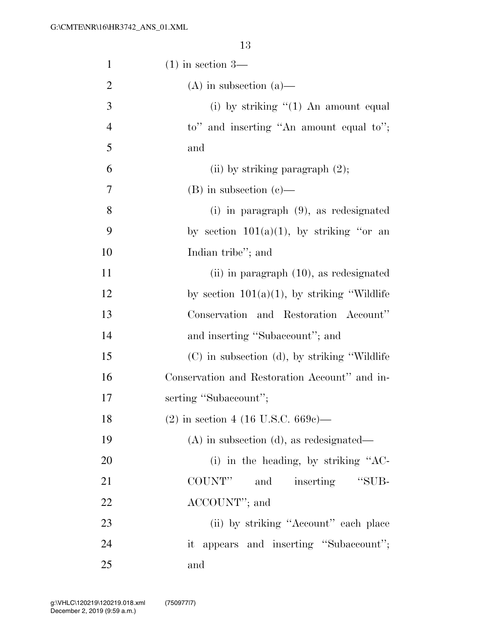| $\mathbf{1}$   | $(1)$ in section 3—                             |
|----------------|-------------------------------------------------|
| $\overline{2}$ | $(A)$ in subsection $(a)$ —                     |
| 3              | (i) by striking $\lq(1)$ An amount equal        |
| $\overline{4}$ | to" and inserting "An amount equal to";         |
| 5              | and                                             |
| 6              | (ii) by striking paragraph $(2)$ ;              |
| $\overline{7}$ | $(B)$ in subsection $(c)$ —                     |
| 8              | $(i)$ in paragraph $(9)$ , as redesignated      |
| 9              | by section $101(a)(1)$ , by striking "or an     |
| 10             | Indian tribe"; and                              |
| 11             | $(iii)$ in paragraph $(10)$ , as redesignated   |
| 12             | by section $101(a)(1)$ , by striking "Wildlife" |
| 13             | Conservation and Restoration Account"           |
| 14             | and inserting "Subaccount"; and                 |
| 15             | (C) in subsection (d), by striking "Wildlife"   |
| 16             | Conservation and Restoration Account" and in-   |
| 17             | serting "Subaccount";                           |
| 18             | $(2)$ in section 4 (16 U.S.C. 669c)—            |
| 19             | $(A)$ in subsection $(d)$ , as redesignated—    |
| 20             | (i) in the heading, by striking $"AC$ -         |
| 21             | COUNT"<br>"SUB-<br>and<br>inserting             |
| 22             | ACCOUNT"; and                                   |
| 23             | (ii) by striking "Account" each place           |
| 24             | it appears and inserting "Subaccount";          |
| 25             | and                                             |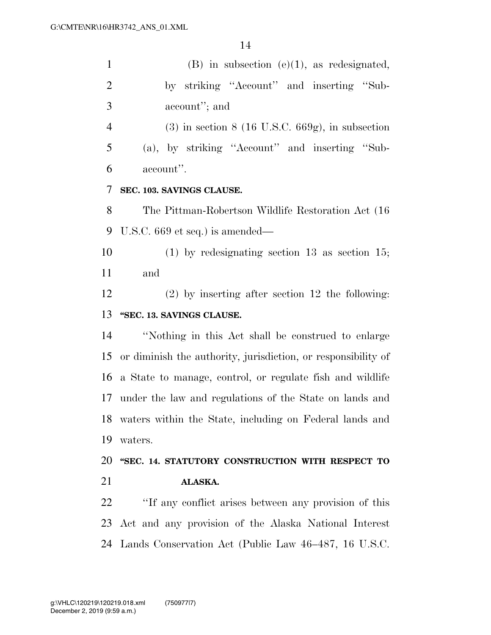1 (B) in subsection (e)(1), as redesignated,

| $\mathbf{2}$   | by striking "Account" and inserting "Sub-                     |
|----------------|---------------------------------------------------------------|
| 3              | account"; and                                                 |
| $\overline{4}$ | $(3)$ in section 8 (16 U.S.C. 669g), in subsection            |
| 5              | (a), by striking "Account" and inserting "Sub-                |
| 6              | account".                                                     |
| 7              | SEC. 103. SAVINGS CLAUSE.                                     |
| 8              | The Pittman-Robertson Wildlife Restoration Act (16)           |
| 9              | U.S.C. $669$ et seq.) is amended—                             |
| 10             | $(1)$ by redesignating section 13 as section 15;              |
| 11             | and                                                           |
| 12             | $(2)$ by inserting after section 12 the following:            |
| 13             | "SEC. 13. SAVINGS CLAUSE.                                     |
| 14             | "Nothing in this Act shall be construed to enlarge            |
| 15             | or diminish the authority, jurisdiction, or responsibility of |
| 16             | a State to manage, control, or regulate fish and wildlife     |
| 17             | under the law and regulations of the State on lands and       |
| 18             | waters within the State, including on Federal lands and       |
| 19             | waters.                                                       |
| 20             | "SEC. 14. STATUTORY CONSTRUCTION WITH RESPECT TO              |
| 21             | ALASKA.                                                       |
| 22             | "If any conflict arises between any provision of this         |
| 23             | Act and any provision of the Alaska National Interest         |
|                | 24 Lands Conservation Act (Public Law 46–487, 16 U.S.C.       |
|                |                                                               |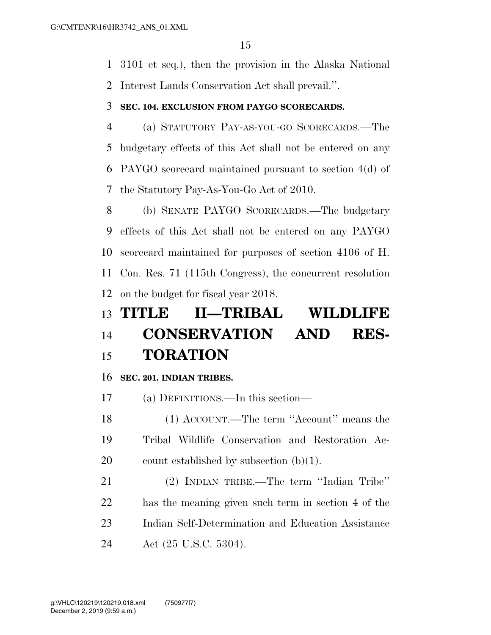3101 et seq.), then the provision in the Alaska National Interest Lands Conservation Act shall prevail.''.

#### **SEC. 104. EXCLUSION FROM PAYGO SCORECARDS.**

 (a) STATUTORY PAY-AS-YOU-GO SCORECARDS.—The budgetary effects of this Act shall not be entered on any PAYGO scorecard maintained pursuant to section 4(d) of the Statutory Pay-As-You-Go Act of 2010.

 (b) SENATE PAYGO SCORECARDS.—The budgetary effects of this Act shall not be entered on any PAYGO scorecard maintained for purposes of section 4106 of H. Con. Res. 71 (115th Congress), the concurrent resolution on the budget for fiscal year 2018.

## **TITLE II—TRIBAL WILDLIFE CONSERVATION AND RES-TORATION**

#### **SEC. 201. INDIAN TRIBES.**

(a) DEFINITIONS.—In this section—

 (1) ACCOUNT.—The term ''Account'' means the Tribal Wildlife Conservation and Restoration Ac-20 count established by subsection  $(b)(1)$ .

 (2) INDIAN TRIBE.—The term ''Indian Tribe'' has the meaning given such term in section 4 of the Indian Self-Determination and Education Assistance Act (25 U.S.C. 5304).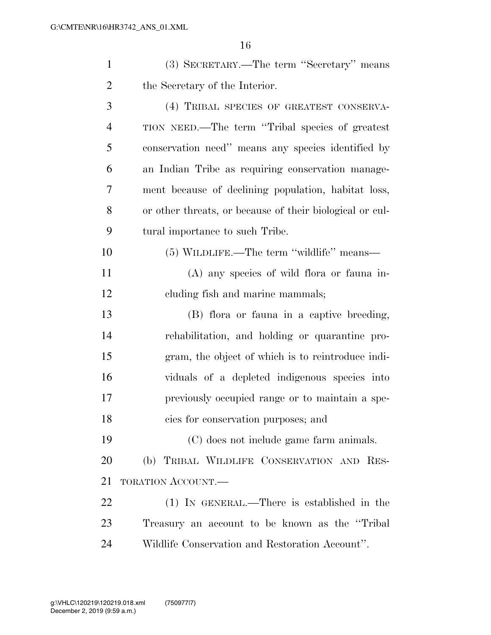| $\mathbf{1}$   | (3) SECRETARY.—The term "Secretary" means                |
|----------------|----------------------------------------------------------|
| $\overline{2}$ | the Secretary of the Interior.                           |
| 3              | (4) TRIBAL SPECIES OF GREATEST CONSERVA-                 |
| $\overline{4}$ | TION NEED.—The term "Tribal species of greatest          |
| 5              | conservation need" means any species identified by       |
| 6              | an Indian Tribe as requiring conservation manage-        |
| 7              | ment because of declining population, habitat loss,      |
| 8              | or other threats, or because of their biological or cul- |
| 9              | tural importance to such Tribe.                          |
| 10             | (5) WILDLIFE.—The term "wildlife" means—                 |
| 11             | $(A)$ any species of wild flora or fauna in-             |
| 12             | cluding fish and marine mammals;                         |
| 13             | (B) flora or fauna in a captive breeding,                |
| 14             | rehabilitation, and holding or quarantine pro-           |
| 15             | gram, the object of which is to reintroduce indi-        |
| 16             | viduals of a depleted indigenous species into            |
| 17             | previously occupied range or to maintain a spe-          |
| 18             | cies for conservation purposes; and                      |
| 19             | (C) does not include game farm animals.                  |
| 20             | (b) TRIBAL WILDLIFE CONSERVATION AND RES-                |
| 21             | <b>TORATION ACCOUNT.—</b>                                |
| 22             | $(1)$ IN GENERAL.—There is established in the            |
| 23             | Treasury an account to be known as the "Tribal"          |
| 24             | Wildlife Conservation and Restoration Account".          |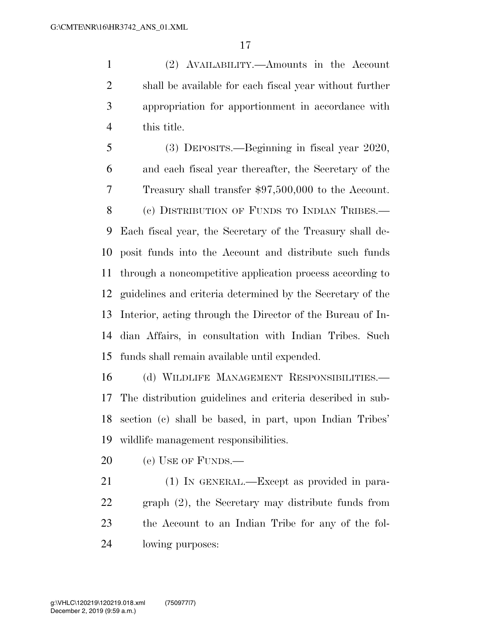(2) AVAILABILITY.—Amounts in the Account shall be available for each fiscal year without further appropriation for apportionment in accordance with this title.

 (3) DEPOSITS.—Beginning in fiscal year 2020, and each fiscal year thereafter, the Secretary of the Treasury shall transfer \$97,500,000 to the Account. (c) DISTRIBUTION OF FUNDS TO INDIAN TRIBES.— Each fiscal year, the Secretary of the Treasury shall de- posit funds into the Account and distribute such funds through a noncompetitive application process according to guidelines and criteria determined by the Secretary of the Interior, acting through the Director of the Bureau of In- dian Affairs, in consultation with Indian Tribes. Such funds shall remain available until expended.

 (d) WILDLIFE MANAGEMENT RESPONSIBILITIES.— The distribution guidelines and criteria described in sub- section (c) shall be based, in part, upon Indian Tribes' wildlife management responsibilities.

20 (e) USE OF FUNDS.—

 (1) IN GENERAL.—Except as provided in para- graph (2), the Secretary may distribute funds from the Account to an Indian Tribe for any of the fol-lowing purposes: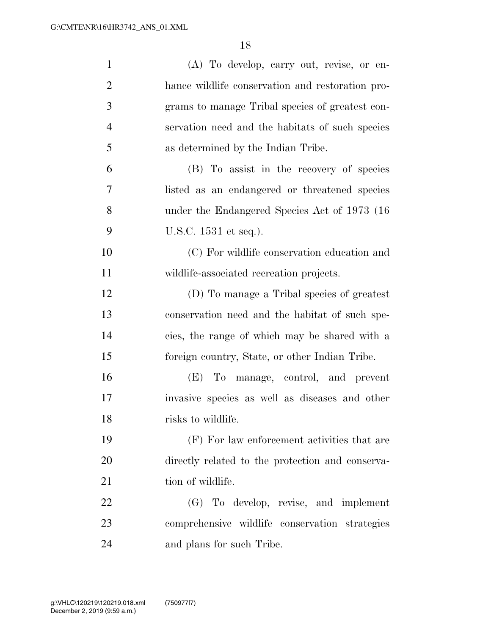| $\mathbf{1}$   | (A) To develop, carry out, revise, or en-        |
|----------------|--------------------------------------------------|
| $\overline{2}$ | hance wildlife conservation and restoration pro- |
| 3              | grams to manage Tribal species of greatest con-  |
| $\overline{4}$ | servation need and the habitats of such species  |
| 5              | as determined by the Indian Tribe.               |
| 6              | (B) To assist in the recovery of species         |
| 7              | listed as an endangered or threatened species    |
| 8              | under the Endangered Species Act of 1973 (16)    |
| 9              | U.S.C. 1531 et seq.).                            |
| 10             | (C) For wildlife conservation education and      |
| 11             | wildlife-associated recreation projects.         |
| 12             | (D) To manage a Tribal species of greatest       |
| 13             | conservation need and the habitat of such spe-   |
| 14             | cies, the range of which may be shared with a    |
| 15             | foreign country, State, or other Indian Tribe.   |
| 16             | (E) To manage, control, and prevent              |
| 17             | invasive species as well as diseases and other   |
| 18             | risks to wildlife.                               |
| 19             | (F) For law enforcement activities that are      |
| 20             | directly related to the protection and conserva- |
| 21             | tion of wildlife.                                |
| 22             | (G) To develop, revise, and implement            |
| 23             | comprehensive wildlife conservation strategies   |
| 24             | and plans for such Tribe.                        |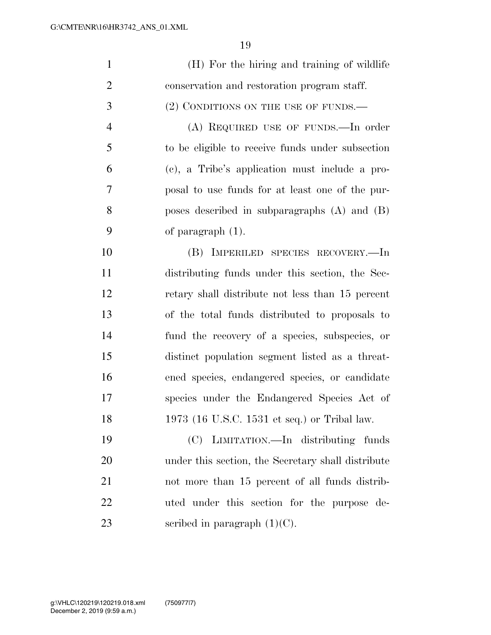| $\mathbf{1}$   | (H) For the hiring and training of wildlife        |
|----------------|----------------------------------------------------|
| $\overline{2}$ | conservation and restoration program staff.        |
| 3              | (2) CONDITIONS ON THE USE OF FUNDS.—               |
| $\overline{4}$ | (A) REQUIRED USE OF FUNDS.—In order                |
| 5              | to be eligible to receive funds under subsection   |
| 6              | (c), a Tribe's application must include a pro-     |
| 7              | posal to use funds for at least one of the pur-    |
| 8              | poses described in subparagraphs $(A)$ and $(B)$   |
| 9              | of paragraph $(1)$ .                               |
| 10             | (B) IMPERILED SPECIES RECOVERY.—In                 |
| 11             | distributing funds under this section, the Sec-    |
| 12             | retary shall distribute not less than 15 percent   |
| 13             | of the total funds distributed to proposals to     |
| 14             | fund the recovery of a species, subspecies, or     |
| 15             | distinct population segment listed as a threat-    |
| 16             | ened species, endangered species, or candidate     |
| 17             | species under the Endangered Species Act of        |
| 18             | 1973 (16 U.S.C. 1531 et seq.) or Tribal law.       |
| 19             | (C) LIMITATION.—In distributing funds              |
| 20             | under this section, the Secretary shall distribute |
| 21             | not more than 15 percent of all funds distrib-     |
| 22             | uted under this section for the purpose de-        |
| 23             | scribed in paragraph $(1)(C)$ .                    |